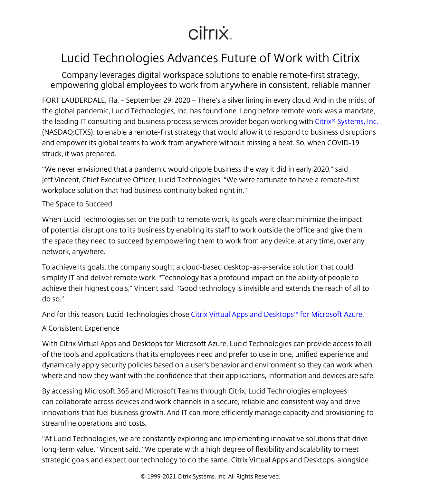## citrix.

## Lucid Technologies Advances Future of Work with Citrix

Company leverages digital workspace solutions to enable remote-first strategy, empowering global employees to work from anywhere in consistent, reliable manner

FORT LAUDERDALE, Fla. – September 29, 2020 – There's a silver lining in every cloud. And in the midst of the global pandemic, Lucid Technologies, Inc. has found one. Long before remote work was a mandate, the leading IT consulting and business process services provider began working with Citrix<sup>®</sup> Systems, Inc. (NASDAQ:CTXS), to enable a remote-first strategy that would allow it to respond to business disruptions and empower its global teams to work from anywhere without missing a beat. So, when COVID-19 struck, it was prepared.

"We never envisioned that a pandemic would cripple business the way it did in early 2020," said Jeff Vincent, Chief Executive Officer, Lucid Technologies. "We were fortunate to have a remote-first workplace solution that had business continuity baked right in."

## The Space to Succeed

When Lucid Technologies set on the path to remote work, its goals were clear: minimize the impact of potential disruptions to its business by enabling its staff to work outside the office and give them the space they need to succeed by empowering them to work from any device, at any time, over any network, anywhere.

To achieve its goals, the company sought a cloud-based desktop-as-a-service solution that could simplify IT and deliver remote work. "Technology has a profound impact on the ability of people to achieve their highest goals," Vincent said. "Good technology is invisible and extends the reach of all to do so."

And for this reason, Lucid Technologies chose [Citrix Virtual Apps and Desktops™ for Microsoft Azure](/content/citrix/en-gb/global-partners/microsoft/managed-desktops-on-azure.html).

## A Consistent Experience

With Citrix Virtual Apps and Desktops for Microsoft Azure, Lucid Technologies can provide access to all of the tools and applications that its employees need and prefer to use in one, unified experience and dynamically apply security policies based on a user's behavior and environment so they can work when, where and how they want with the confidence that their applications, information and devices are safe.

By accessing Microsoft 365 and Microsoft Teams through Citrix, Lucid Technologies employees can collaborate across devices and work channels in a secure, reliable and consistent way and drive innovations that fuel business growth. And IT can more efficiently manage capacity and provisioning to streamline operations and costs.

"At Lucid Technologies, we are constantly exploring and implementing innovative solutions that drive long-term value," Vincent said. "We operate with a high degree of flexibility and scalability to meet strategic goals and expect our technology to do the same. Citrix Virtual Apps and Desktops, alongside